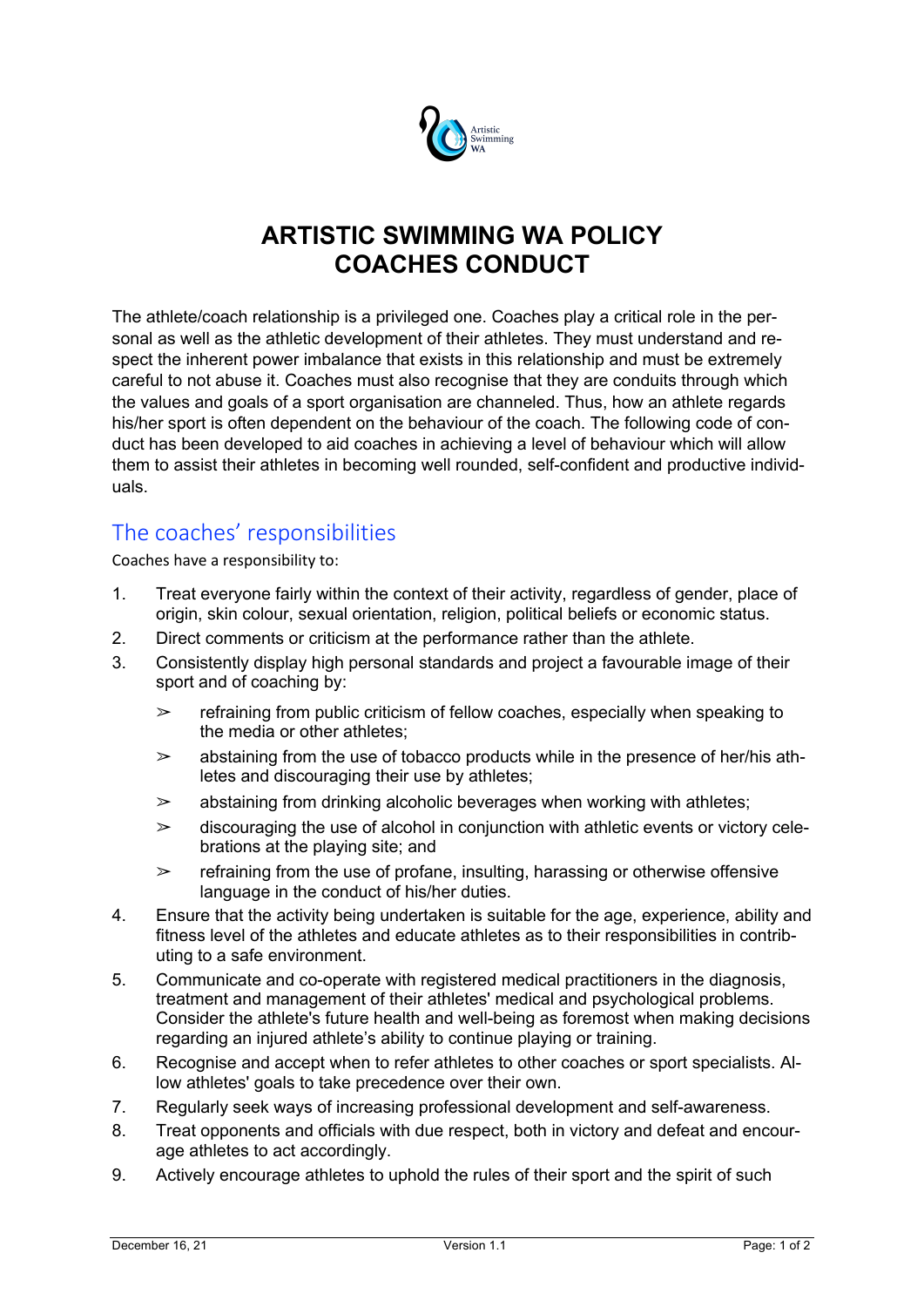

## **ARTISTIC SWIMMING WA POLICY COACHES CONDUCT**

The athlete/coach relationship is a privileged one. Coaches play a critical role in the personal as well as the athletic development of their athletes. They must understand and respect the inherent power imbalance that exists in this relationship and must be extremely careful to not abuse it. Coaches must also recognise that they are conduits through which the values and goals of a sport organisation are channeled. Thus, how an athlete regards his/her sport is often dependent on the behaviour of the coach. The following code of conduct has been developed to aid coaches in achieving a level of behaviour which will allow them to assist their athletes in becoming well rounded, self-confident and productive individuals.

## The coaches' responsibilities

Coaches have a responsibility to:

- 1. Treat everyone fairly within the context of their activity, regardless of gender, place of origin, skin colour, sexual orientation, religion, political beliefs or economic status.
- 2. Direct comments or criticism at the performance rather than the athlete.
- 3. Consistently display high personal standards and project a favourable image of their sport and of coaching by:
	- $\ge$  refraining from public criticism of fellow coaches, especially when speaking to the media or other athletes;
	- $\geq$  abstaining from the use of tobacco products while in the presence of her/his athletes and discouraging their use by athletes;
	- $\geq$  abstaining from drinking alcoholic beverages when working with athletes;
	- $\geq$  discouraging the use of alcohol in conjunction with athletic events or victory celebrations at the playing site; and
	- $\ge$  refraining from the use of profane, insulting, harassing or otherwise offensive language in the conduct of his/her duties.
- 4. Ensure that the activity being undertaken is suitable for the age, experience, ability and fitness level of the athletes and educate athletes as to their responsibilities in contributing to a safe environment.
- 5. Communicate and co-operate with registered medical practitioners in the diagnosis, treatment and management of their athletes' medical and psychological problems. Consider the athlete's future health and well-being as foremost when making decisions regarding an injured athlete's ability to continue playing or training.
- 6. Recognise and accept when to refer athletes to other coaches or sport specialists. Allow athletes' goals to take precedence over their own.
- 7. Regularly seek ways of increasing professional development and self-awareness.
- 8. Treat opponents and officials with due respect, both in victory and defeat and encourage athletes to act accordingly.
- 9. Actively encourage athletes to uphold the rules of their sport and the spirit of such